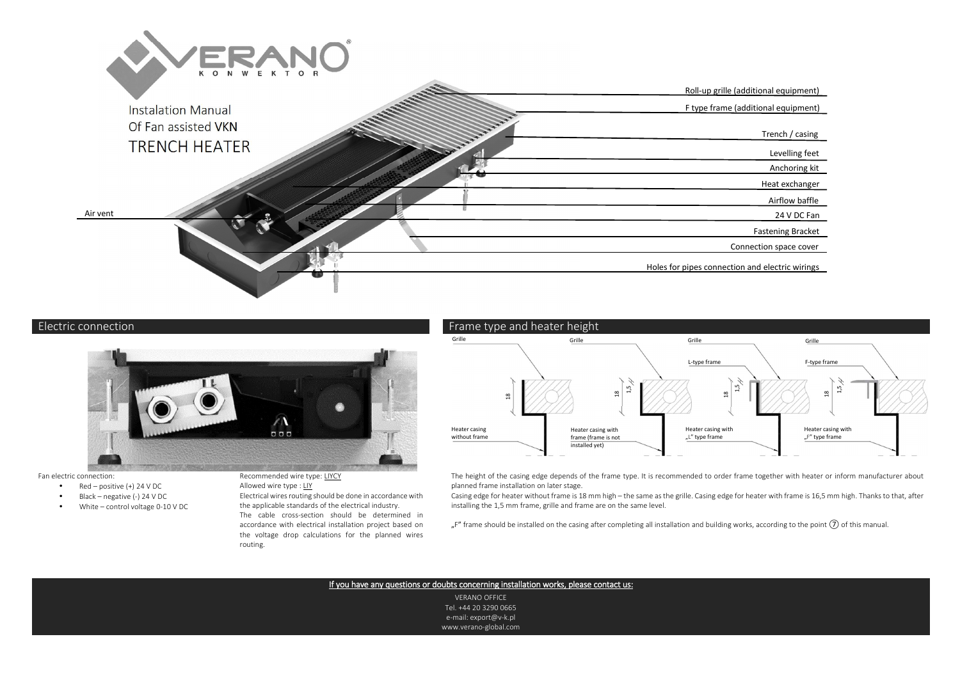

# Electric connection



#### Fan electric connection:

- Red positive  $(+)$  24 V DC •
- •Black – negative (-) 24 V DC
- •White – control voltage 0-10 V DC

Recommended wire type: LIYCY

Allowed wire type : LIY

 Electrical wires routing should be done in accordance with the applicable standards of the electrical industry. The cable cross-section should be determined in accordance with electrical installation project based on the voltage drop calculations for the planned wiresrouting.



 The height of the casing edge depends of the frame type. It is recommended to order frame together with heater or inform manufacturer about planned frame installation on later stage.

 Casing edge for heater without frame is 18 mm high – the same as the grille. Casing edge for heater with frame is 16,5 mm high. Thanks to that, after installing the 1,5 mm frame, grille and frame are on the same level.

"F" frame should be installed on the casing after completing all installation and building works, according to the point  $(7)$  of this manual.

### If you have any questions or doubts concerning installation works, please contact us:

VERANO OFFICE Tel. +44 20 3290 0665 e-mail: export@v-k.pl www.verano-global.com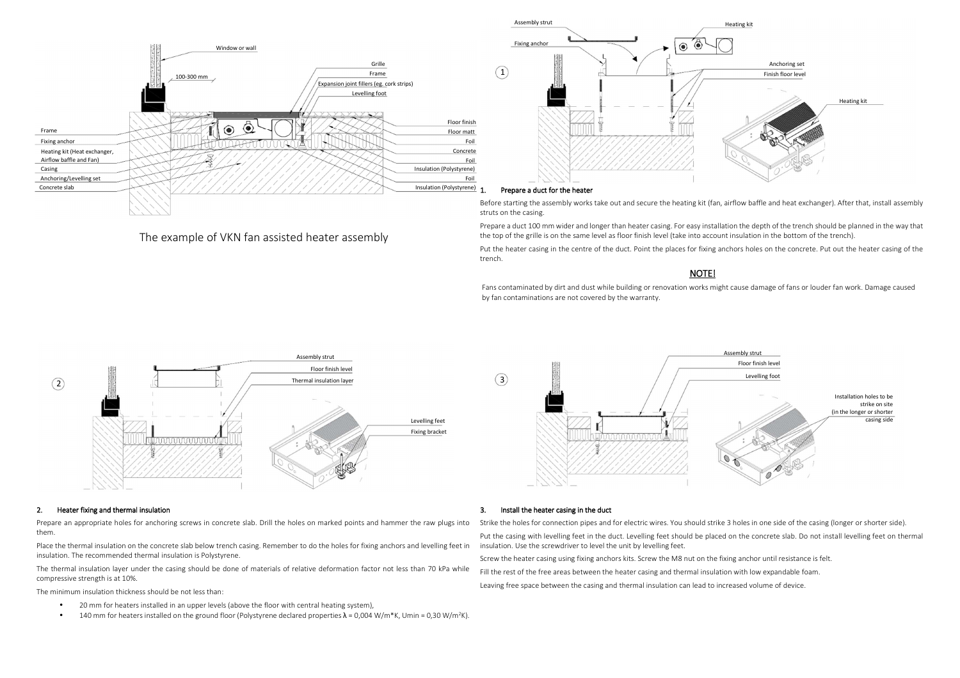

The example of VKN fan assisted heater assembly



1. Prepare a duct for the heater<br>Before starting the assembly works take out and secure the heating kit (fan, airflow baffle and heat exchanger). After that, install assembly struts on the casing.

Prepare a duct 100 mm wider and longer than heater casing. For easy installation the depth of the trench should be planned in the way that the top of the grille is on the same level as floor finish level (take into account insulation in the bottom of the trench).

Put the heater casing in the centre of the duct. Point the places for fixing anchors holes on the concrete. Put out the heater casing of the trench.

## NOTE!

Fans contaminated by dirt and dust while building or renovation works might cause damage of fans or louder fan work. Damage caused by fan contaminations are not covered by the warranty.



#### 2.

2. Heater fixing and thermal insulation<br>Prepare an appropriate holes for anchoring screws in concrete slab. Drill the holes on marked points and hammer the raw plugs into them.

Place the thermal insulation on the concrete slab below trench casing. Remember to do the holes for fixing anchors and levelling feet in insulation. The recommended thermal insulation is Polystyrene.

The thermal insulation layer under the casing should be done of materials of relative deformation factor not less than 70 kPa while compressive strength is at 10%.

The minimum insulation thickness should be not less than:

- •20 mm for heaters installed in an upper levels (above the floor with central heating system),
- •140 mm for heaters installed on the ground floor (Polystyrene declared properties  $\lambda = 0.004$  W/m\*K, Umin = 0.30 W/m<sup>2</sup>K).



#### 3.

**3.** Install the heater casing in the duct<br>Strike the holes for connection pipes and for electric wires. You should strike 3 holes in one side of the casing (longer or shorter side).

Put the casing with levelling feet in the duct. Levelling feet should be placed on the concrete slab. Do not install levelling feet on thermal insulation. Use the screwdriver to level the unit by levelling feet.

Screw the heater casing using fixing anchors kits. Screw the M8 nut on the fixing anchor until resistance is felt.

Fill the rest of the free areas between the heater casing and thermal insulation with low expandable foam.

Leaving free space between the casing and thermal insulation can lead to increased volume of device.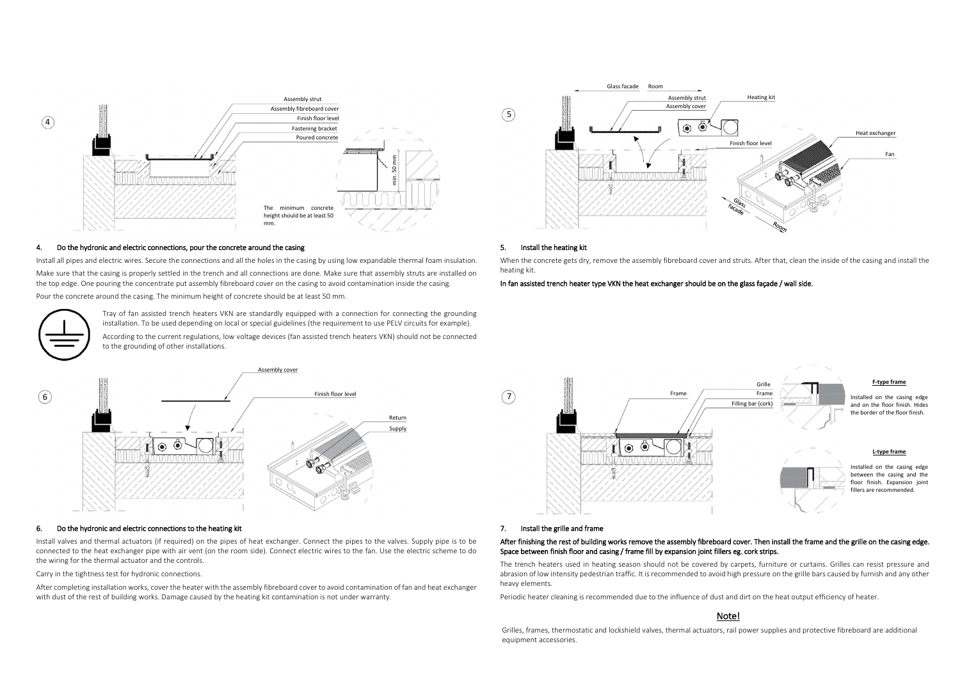

#### 4.

4. Do the hydronic and electric connections, pour the concrete around the casing install all pipes and electric wires. Secure the connections and all the holes in the casing by using low expandable thermal foam insulation. Make sure that the casing is properly settled in the trench and all connections are done. Make sure that assembly struts are installed on the top edge. One pouring the concentrate put assembly fibreboard cover on the casing to avoid contamination inside the casing. Pour the concrete around the casing. The minimum height of concrete should be at least 50 mm. ouring the concentrate put assembly fibreboard cover on the casing to avoid contamination inside the casing. **In fan assisted trench heater type VKN the heat exchanger should be on the glass façade / wall side.**<br>Tray of fa

installation. To be used depending on local or special guidelines (the requirement to use PELV circuits for example). According to the current regulations, low voltage devices (fan assisted trench heaters VKN) should not be connected

to the grounding of other installations.



#### 6.

**6.** Do the hydronic and electric connections to the heating kit Instants and the pipes to the valves and thermal actuators (if required) on the pipes of heat exchanger. Connect the pipes to the valves. Supply pipe is to b connected to the heat exchanger pipe with air vent (on the room side). Connect electric wires to the fan. Use the electric scheme to do the wiring for the thermal actuator and the controls.

#### Carry in the tightness test for hydronic connections.

After completing installation works, cover the heater with the assembly fibreboard cover to avoid contamination of fan and heat exchanger with dust of the rest of building works. Damage caused by the heating kit contamination is not under warranty.



### 5.

**5.** Install the heating kit<br>When the concrete gets dry, remove the assembly fibreboard cover and struts. After that, clean the inside of the casing and install the heating kit.



#### 7. Install the grille and frame

# After finishing the rest of building works remove the assembly fibreboard cover. Then install the frame and the grille on the casing edge. Space between finish floor and casing / frame fill by expansion joint fillers eg. cork strips.<br>The trench heaters used in heating season should not be covered by carpets, furniture or curtains. Grilles can resist pressure

 abrasion of low intensity pedestrian traffic. It is recommended to avoid high pressure on the grille bars caused by furnish and any other heavy elements.

Periodic heater cleaning is recommended due to the influence of dust and dirt on the heat output efficiency of heater.

### Note!

Grilles, frames, thermostatic and lockshield valves, thermal actuators, rail power supplies and protective fibreboard are additional equipment accessories.